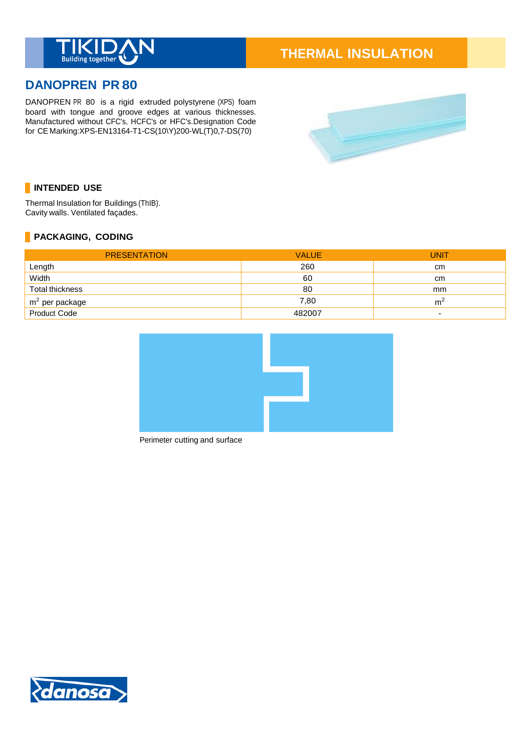

# **THERMAL INSULATION**

# **DANOPREN PR 80**

DANOPREN PR 80 is a rigid extruded polystyrene (XPS) foam board with tongue and groove edges at various thicknesses. Manufactured without CFC's, HCFC's or HFC's.Designation Code for CE Marking:XPS-EN13164-T1-CS(10\Y)200-WL(T)0,7-DS(70)



# **INTENDED USE**

Thermal Insulation for Buildings (ThIB). Cavity walls. Ventilated façades.

# **PACKAGING, CODING**

| <b>PRESENTATION</b> | <b>VALUE</b> | UNIT                     |
|---------------------|--------------|--------------------------|
| Length              | 260          | cm                       |
| Width               | 60           | cm                       |
| Total thickness     | 80           | mm                       |
| $m2$ per package    | 7.80         | m                        |
| Product Code        | 482007       | $\overline{\phantom{0}}$ |



Perimeter cutting and surface

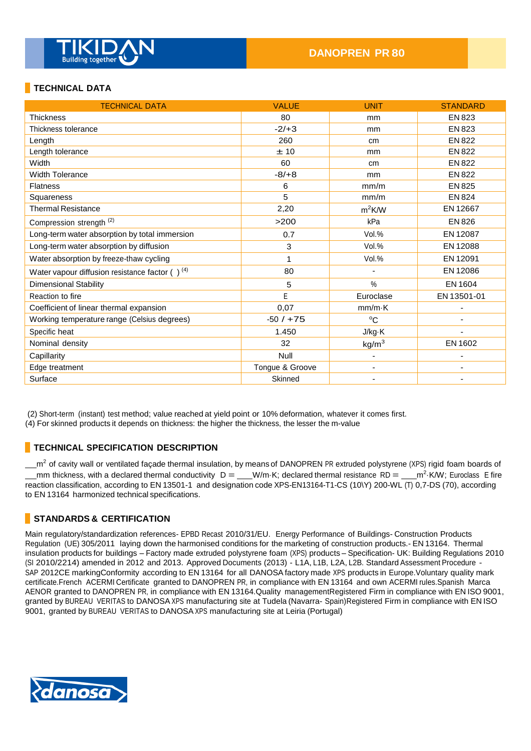

# **TECHNICAL DATA**

| <b>TECHNICAL DATA</b>                                | <b>VALUE</b>    | <b>UNIT</b>       | <b>STANDARD</b> |
|------------------------------------------------------|-----------------|-------------------|-----------------|
| <b>Thickness</b>                                     | 80              | mm                | EN 823          |
| Thickness tolerance                                  | $-2/+3$         | mm                | EN 823          |
| Length                                               | 260             | cm                | <b>EN 822</b>   |
| Length tolerance                                     | ±10             | mm                | EN 822          |
| Width                                                | 60              | cm                | <b>EN 822</b>   |
| <b>Width Tolerance</b>                               | $-8/ +8$        | mm                | EN 822          |
| <b>Flatness</b>                                      | 6               | mm/m              | <b>EN 825</b>   |
| Squareness                                           | 5               | mm/m              | <b>EN 824</b>   |
| <b>Thermal Resistance</b>                            | 2,20            | $m^2$ K/W         | EN 12667        |
| Compression strength <sup>(2)</sup>                  | >200            | kPa               | EN 826          |
| Long-term water absorption by total immersion        | 0.7             | Vol.%             | EN 12087        |
| Long-term water absorption by diffusion              | 3               | Vol.%             | EN 12088        |
| Water absorption by freeze-thaw cycling              |                 | Vol.%             | EN 12091        |
| Water vapour diffusion resistance factor $( )^{(4)}$ | 80              | $\blacksquare$    | EN 12086        |
| <b>Dimensional Stability</b>                         | 5               | $\frac{0}{0}$     | EN 1604         |
| Reaction to fire                                     | E               | Euroclase         | EN 13501-01     |
| Coefficient of linear thermal expansion              | 0.07            | $mm/m\cdot K$     |                 |
| Working temperature range (Celsius degrees)          | $-50/ + 75$     | $^{\circ}C$       |                 |
| Specific heat                                        | 1.450           | J/kg·K            |                 |
| Nominal density                                      | 32              | kg/m <sup>3</sup> | EN 1602         |
| Capillarity                                          | Null            |                   |                 |
| Edge treatment                                       | Tongue & Groove | ٠                 |                 |
| Surface                                              | Skinned         |                   |                 |

(2) Short-term (instant) test method; value reached at yield point or 10% deformation, whatever it comes first.

(4) For skinned products it depends on thickness: the higher the thickness, the lesser the m-value

#### **TECHNICAL SPECIFICATION DESCRIPTION**

 $m^2$  of cavity wall or ventilated façade thermal insulation, by means of DANOPREN PR extruded polystyrene (XPS) rigid foam boards of mm thickness, with a declared thermal conductivity  $D = \underline{\hspace{1cm}} W/m$  K; declared thermal resistance RD =  $\underline{\hspace{1cm}} m^2$  K/W; Euroclass E fire reaction classification, according to EN 13501-1 and designation code XPS-EN13164-T1-CS (10\Y) 200-WL (T) 0,7-DS (70), according to EN 13164 harmonized technical specifications.

#### **STANDARDS & CERTIFICATION**

Main regulatory/standardization references- EPBD Recast 2010/31/EU. Energy Performance of Buildings- Construction Products Regulation (UE) 305/2011 laying down the harmonised conditions for the marketing of construction products.- EN 13164. Thermal insulation products for buildings – Factory made extruded polystyrene foam (XPS) products – Specification- UK: Building Regulations 2010 (SI 2010/2214) amended in 2012 and 2013. Approved Documents (2013) - L1A, L1B, L2A, L2B. Standard Assessment Procedure - SAP 2012CE markingConformity according to EN 13164 for all DANOSA factory made XPS products in Europe.Voluntary quality mark certificate.French ACERMI Certificate granted to DANOPREN PR, in compliance with EN 13164 and own ACERMI rules.Spanish Marca AENOR granted to DANOPREN PR, in compliance with EN 13164.Quality managementRegistered Firm in compliance with EN ISO 9001, granted by BUREAU VERITAS to DANOSA XPS manufacturing site at Tudela (Navarra- Spain)Registered Firm in compliance with EN ISO 9001, granted by BUREAU VERITAS to DANOSA XPS manufacturing site at Leiria (Portugal)

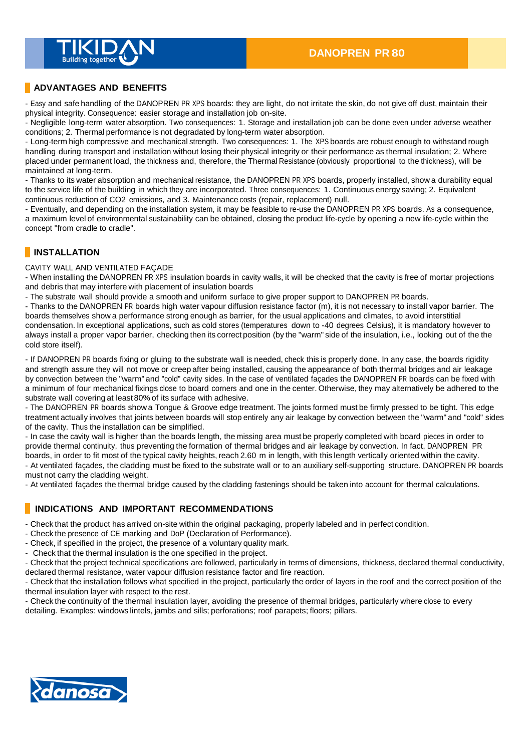

#### **ADVANTAGES AND BENEFITS**

- Easy and safe handling of the DANOPREN PR XPS boards: they are light, do not irritate the skin, do not give off dust, maintain their physical integrity. Consequence: easier storage and installation job on-site.

- Negligible long-term water absorption. Two consequences: 1. Storage and installation job can be done even under adverse weather conditions; 2. Thermal performance is not degradated by long-term water absorption.

- Long-term high compressive and mechanical strength. Two consequences: 1. The XPS boards are robust enough to withstand rough handling during transport and installation without losing their physical integrity or their performance as thermal insulation; 2. Where placed under permanent load, the thickness and, therefore, the Thermal Resistance (obviously proportional to the thickness), will be maintained at long-term.

- Thanks to its water absorption and mechanical resistance, the DANOPREN PR XPS boards, properly installed, show a durability equal to the service life of the building in which they are incorporated. Three consequences: 1. Continuous energy saving; 2. Equivalent continuous reduction of CO2 emissions, and 3. Maintenance costs (repair, replacement) null.

- Eventually, and depending on the installation system, it may be feasible to re-use the DANOPREN PR XPS boards. As a consequence, a maximum level of environmental sustainability can be obtained, closing the product life-cycle by opening a new life-cycle within the concept "from cradle to cradle".

#### **INSTALLATION**

CAVITY WALL AND VENTILATED FAÇADE

- When installing the DANOPREN PR XPS insulation boards in cavity walls, it will be checked that the cavity is free of mortar projections and debris that may interfere with placement of insulation boards

- The substrate wall should provide a smooth and uniform surface to give proper support to DANOPREN PR boards.

- Thanks to the DANOPREN PR boards high water vapour diffusion resistance factor (m), it is not necessary to install vapor barrier. The boards themselves show a performance strong enough as barrier, for the usual applications and climates, to avoid interstitial condensation. In exceptional applications, such as cold stores (temperatures down to -40 degrees Celsius), it is mandatory however to always install a proper vapor barrier, checking then its correct position (by the "warm" side of the insulation, i.e., looking out of the the cold store itself).

- If DANOPREN PR boards fixing or gluing to the substrate wall is needed, check this is properly done. In any case, the boards rigidity and strength assure they will not move or creep after being installed, causing the appearance of both thermal bridges and air leakage by convection between the "warm" and "cold" cavity sides. In the case of ventilated façades the DANOPREN PR boards can be fixed with a minimum of four mechanical fixings close to board corners and one in the center. Otherwise, they may alternatively be adhered to the substrate wall covering at least 80% of its surface with adhesive.

- The DANOPREN PR boards show a Tongue & Groove edge treatment. The joints formed must be firmly pressed to be tight. This edge treatment actually involves that joints between boards will stop entirely any air leakage by convection between the "warm" and "cold" sides of the cavity. Thus the installation can be simplified.

- In case the cavity wall is higher than the boards length, the missing area must be properly completed with board pieces in order to provide thermal continuity, thus preventing the formation of thermal bridges and air leakage by convection. In fact, DANOPREN PR boards, in order to fit most of the typical cavity heights, reach 2.60 m in length, with this length vertically oriented within the cavity. - At ventilated façades, the cladding must be fixed to the substrate wall or to an auxiliary self-supporting structure. DANOPREN PR boards must not carry the cladding weight.

- At ventilated façades the thermal bridge caused by the cladding fastenings should be taken into account for thermal calculations.

#### **INDICATIONS AND IMPORTANT RECOMMENDATIONS**

- Check that the product has arrived on-site within the original packaging, properly labeled and in perfect condition.

- Check the presence of CE marking and DoP (Declaration of Performance).
- Check, if specified in the project, the presence of a voluntary quality mark.
- Check that the thermal insulation is the one specified in the project.

- Check that the project technical specifications are followed, particularly in terms of dimensions, thickness, declared thermal conductivity, declared thermal resistance, water vapour diffusion resistance factor and fire reaction.

- Check that the installation follows what specified in the project, particularly the order of layers in the roof and the correct position of the thermal insulation layer with respect to the rest.

- Check the continuity of the thermal insulation layer, avoiding the presence of thermal bridges, particularly where close to every detailing. Examples: windows lintels, jambs and sills; perforations; roof parapets; floors; pillars.